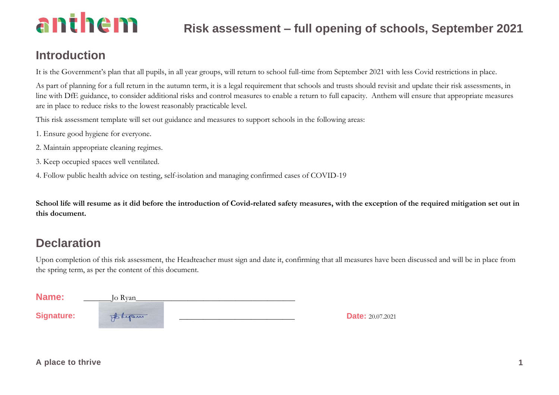#### **Introduction**

It is the Government's plan that all pupils, in all year groups, will return to school full-time from September 2021 with less Covid restrictions in place.

As part of planning for a full return in the autumn term, it is a legal requirement that schools and trusts should revisit and update their risk assessments, in line with DfE guidance, to consider additional risks and control measures to enable a return to full capacity. Anthem will ensure that appropriate measures are in place to reduce risks to the lowest reasonably practicable level.

This risk assessment template will set out guidance and measures to support schools in the following areas:

- 1. Ensure good hygiene for everyone.
- 2. Maintain appropriate cleaning regimes.
- 3. Keep occupied spaces well ventilated.
- 4. Follow public health advice on testing, self-isolation and managing confirmed cases of COVID-19

**School life will resume as it did before the introduction of Covid-related safety measures, with the exception of the required mitigation set out in this document.**

#### **Declaration**

Upon completion of this risk assessment, the Headteacher must sign and date it, confirming that all measures have been discussed and will be in place from the spring term, as per the content of this document.

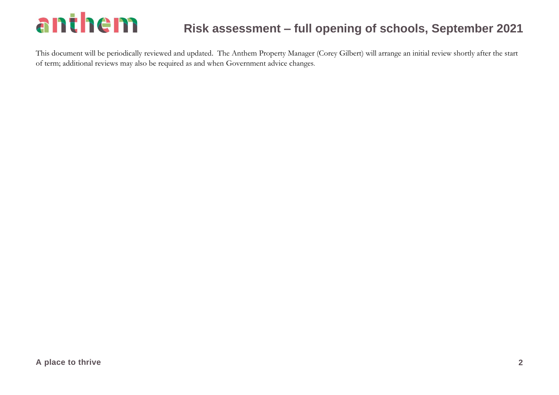#### **Risk assessment – full opening of schools, September 2021**

This document will be periodically reviewed and updated. The Anthem Property Manager (Corey Gilbert) will arrange an initial review shortly after the start of term; additional reviews may also be required as and when Government advice changes.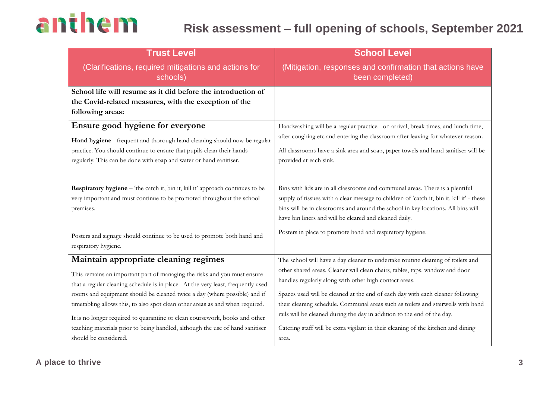#### **Risk assessment – full opening of schools, September 2021**

| <b>School Level</b>                                                                                                                                                                                                                                                                                                                                                                                                                                                                                                                                                      |
|--------------------------------------------------------------------------------------------------------------------------------------------------------------------------------------------------------------------------------------------------------------------------------------------------------------------------------------------------------------------------------------------------------------------------------------------------------------------------------------------------------------------------------------------------------------------------|
| (Mitigation, responses and confirmation that actions have<br>been completed)                                                                                                                                                                                                                                                                                                                                                                                                                                                                                             |
|                                                                                                                                                                                                                                                                                                                                                                                                                                                                                                                                                                          |
| Handwashing will be a regular practice - on arrival, break times, and lunch time,<br>after coughing etc and entering the classroom after leaving for whatever reason.<br>All classrooms have a sink area and soap, paper towels and hand sanitiser will be<br>provided at each sink.                                                                                                                                                                                                                                                                                     |
| Bins with lids are in all classrooms and communal areas. There is a plentiful<br>supply of tissues with a clear message to children of 'catch it, bin it, kill it' - these<br>bins will be in classrooms and around the school in key locations. All bins will<br>have bin liners and will be cleared and cleaned daily.                                                                                                                                                                                                                                                 |
| Posters in place to promote hand and respiratory hygiene.                                                                                                                                                                                                                                                                                                                                                                                                                                                                                                                |
| The school will have a day cleaner to undertake routine cleaning of toilets and<br>other shared areas. Cleaner will clean chairs, tables, taps, window and door<br>handles regularly along with other high contact areas.<br>Spaces used will be cleaned at the end of each day with each cleaner following<br>their cleaning schedule. Communal areas such as toilets and stairwells with hand<br>rails will be cleaned during the day in addition to the end of the day.<br>Catering staff will be extra vigilant in their cleaning of the kitchen and dining<br>area. |
|                                                                                                                                                                                                                                                                                                                                                                                                                                                                                                                                                                          |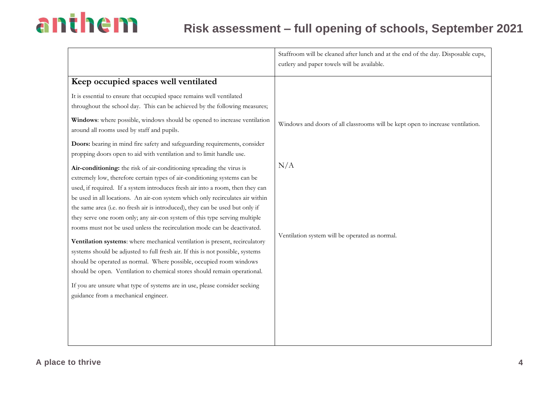#### **Risk assessment – full opening of schools, September 2021**

|                                                                                                                                                                                                                                                                                                                                                                                                                                                                                                                                                                                                                                                                                                                                                                                                                                                                                                                                                                                                              | Staffroom will be cleaned after lunch and at the end of the day. Disposable cups,<br>cutlery and paper towels will be available. |
|--------------------------------------------------------------------------------------------------------------------------------------------------------------------------------------------------------------------------------------------------------------------------------------------------------------------------------------------------------------------------------------------------------------------------------------------------------------------------------------------------------------------------------------------------------------------------------------------------------------------------------------------------------------------------------------------------------------------------------------------------------------------------------------------------------------------------------------------------------------------------------------------------------------------------------------------------------------------------------------------------------------|----------------------------------------------------------------------------------------------------------------------------------|
| Keep occupied spaces well ventilated                                                                                                                                                                                                                                                                                                                                                                                                                                                                                                                                                                                                                                                                                                                                                                                                                                                                                                                                                                         |                                                                                                                                  |
| It is essential to ensure that occupied space remains well ventilated<br>throughout the school day. This can be achieved by the following measures;                                                                                                                                                                                                                                                                                                                                                                                                                                                                                                                                                                                                                                                                                                                                                                                                                                                          |                                                                                                                                  |
| Windows: where possible, windows should be opened to increase ventilation<br>around all rooms used by staff and pupils.                                                                                                                                                                                                                                                                                                                                                                                                                                                                                                                                                                                                                                                                                                                                                                                                                                                                                      | Windows and doors of all classrooms will be kept open to increase ventilation.                                                   |
| Doors: bearing in mind fire safety and safeguarding requirements, consider<br>propping doors open to aid with ventilation and to limit handle use.                                                                                                                                                                                                                                                                                                                                                                                                                                                                                                                                                                                                                                                                                                                                                                                                                                                           |                                                                                                                                  |
| Air-conditioning: the risk of air-conditioning spreading the virus is<br>extremely low, therefore certain types of air-conditioning systems can be<br>used, if required. If a system introduces fresh air into a room, then they can<br>be used in all locations. An air-con system which only recirculates air within<br>the same area (i.e. no fresh air is introduced), they can be used but only if<br>they serve one room only; any air-con system of this type serving multiple<br>rooms must not be used unless the recirculation mode can be deactivated.<br>Ventilation systems: where mechanical ventilation is present, recirculatory<br>systems should be adjusted to full fresh air. If this is not possible, systems<br>should be operated as normal. Where possible, occupied room windows<br>should be open. Ventilation to chemical stores should remain operational.<br>If you are unsure what type of systems are in use, please consider seeking<br>guidance from a mechanical engineer. | N/A<br>Ventilation system will be operated as normal.                                                                            |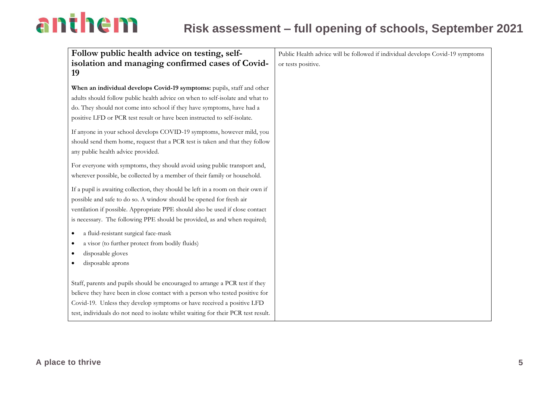| Follow public health advice on testing, self-                                                                                                                                                                                                                                                                                 | Public Health advice will be followed if individual develops Covid-19 symptoms |
|-------------------------------------------------------------------------------------------------------------------------------------------------------------------------------------------------------------------------------------------------------------------------------------------------------------------------------|--------------------------------------------------------------------------------|
| isolation and managing confirmed cases of Covid-                                                                                                                                                                                                                                                                              | or tests positive.                                                             |
| 19                                                                                                                                                                                                                                                                                                                            |                                                                                |
| When an individual develops Covid-19 symptoms: pupils, staff and other<br>adults should follow public health advice on when to self-isolate and what to<br>do. They should not come into school if they have symptoms, have had a<br>positive LFD or PCR test result or have been instructed to self-isolate.                 |                                                                                |
| If anyone in your school develops COVID-19 symptoms, however mild, you<br>should send them home, request that a PCR test is taken and that they follow<br>any public health advice provided.                                                                                                                                  |                                                                                |
| For everyone with symptoms, they should avoid using public transport and,<br>wherever possible, be collected by a member of their family or household.                                                                                                                                                                        |                                                                                |
| If a pupil is awaiting collection, they should be left in a room on their own if<br>possible and safe to do so. A window should be opened for fresh air<br>ventilation if possible. Appropriate PPE should also be used if close contact<br>is necessary. The following PPE should be provided, as and when required;         |                                                                                |
| a fluid-resistant surgical face-mask<br>a visor (to further protect from bodily fluids)<br>disposable gloves<br>disposable aprons                                                                                                                                                                                             |                                                                                |
| Staff, parents and pupils should be encouraged to arrange a PCR test if they<br>believe they have been in close contact with a person who tested positive for<br>Covid-19. Unless they develop symptoms or have received a positive LFD<br>test, individuals do not need to isolate whilst waiting for their PCR test result. |                                                                                |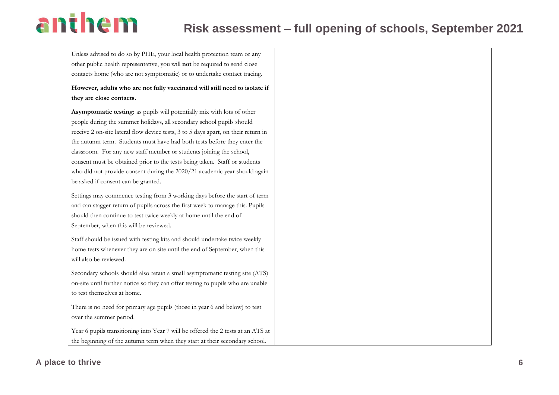Unless advised to do so by PHE, your local health protection team or any other public health representative, you will **not** be required to send close contacts home (who are not symptomatic) or to undertake contact tracing.

**However, adults who are not fully vaccinated will still need to isolate if they are close contacts.**

**Asymptomatic testing:** as pupils will potentially mix with lots of other people during the summer holidays, all secondary school pupils should receive 2 on-site lateral flow device tests, 3 to 5 days apart, on their return in the autumn term. Students must have had both tests before they enter the classroom. For any new staff member or students joining the school, consent must be obtained prior to the tests being taken. Staff or students who did not provide consent during the 2020/21 academic year should again be asked if consent can be granted.

Settings may commence testing from 3 working days before the start of term and can stagger return of pupils across the first week to manage this. Pupils should then continue to test twice weekly at home until the end of September, when this will be reviewed.

Staff should be issued with testing kits and should undertake twice weekly home tests whenever they are on site until the end of September, when this will also be reviewed.

Secondary schools should also retain a small asymptomatic testing site (ATS) on-site until further notice so they can offer testing to pupils who are unable to test themselves at home.

There is no need for primary age pupils (those in year 6 and below) to test over the summer period.

Year 6 pupils transitioning into Year 7 will be offered the 2 tests at an ATS at the beginning of the autumn term when they start at their secondary school.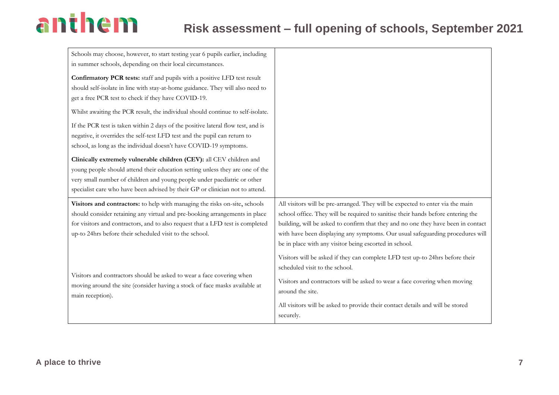| Schools may choose, however, to start testing year 6 pupils earlier, including   |                                                                                                |
|----------------------------------------------------------------------------------|------------------------------------------------------------------------------------------------|
| in summer schools, depending on their local circumstances.                       |                                                                                                |
| Confirmatory PCR tests: staff and pupils with a positive LFD test result         |                                                                                                |
| should self-isolate in line with stay-at-home guidance. They will also need to   |                                                                                                |
| get a free PCR test to check if they have COVID-19.                              |                                                                                                |
| Whilst awaiting the PCR result, the individual should continue to self-isolate.  |                                                                                                |
| If the PCR test is taken within 2 days of the positive lateral flow test, and is |                                                                                                |
| negative, it overrides the self-test LFD test and the pupil can return to        |                                                                                                |
| school, as long as the individual doesn't have COVID-19 symptoms.                |                                                                                                |
| Clinically extremely vulnerable children (CEV): all CEV children and             |                                                                                                |
| young people should attend their education setting unless they are one of the    |                                                                                                |
| very small number of children and young people under paediatric or other         |                                                                                                |
| specialist care who have been advised by their GP or clinician not to attend.    |                                                                                                |
|                                                                                  |                                                                                                |
| Visitors and contractors: to help with managing the risks on-site, schools       | All visitors will be pre-arranged. They will be expected to enter via the main                 |
| should consider retaining any virtual and pre-booking arrangements in place      | school office. They will be required to sanitise their hands before entering the               |
| for visitors and contractors, and to also request that a LFD test is completed   | building, will be asked to confirm that they and no one they have been in contact              |
| up-to 24hrs before their scheduled visit to the school.                          | with have been displaying any symptoms. Our usual safeguarding procedures will                 |
|                                                                                  | be in place with any visitor being escorted in school.                                         |
|                                                                                  | Visitors will be asked if they can complete LFD test up-to 24hrs before their                  |
|                                                                                  | scheduled visit to the school.                                                                 |
| Visitors and contractors should be asked to wear a face covering when            |                                                                                                |
| moving around the site (consider having a stock of face masks available at       | Visitors and contractors will be asked to wear a face covering when moving<br>around the site. |
| main reception).                                                                 |                                                                                                |
|                                                                                  | All visitors will be asked to provide their contact details and will be stored<br>securely.    |